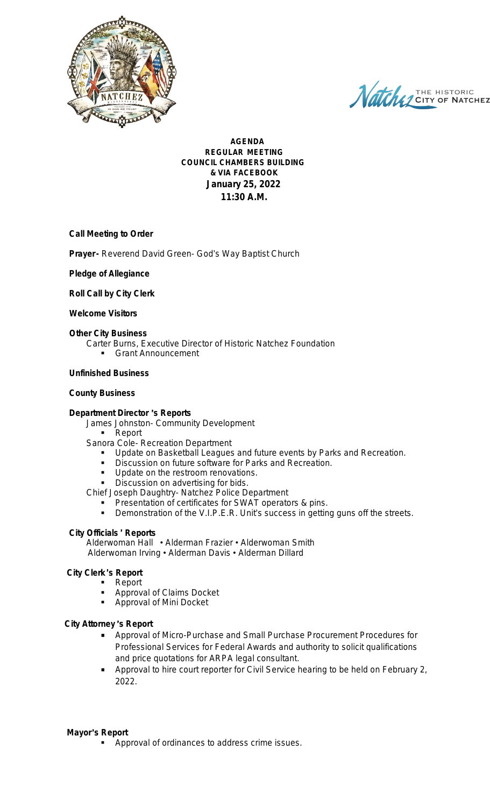

Natche J CITY OF NATCHEZ

**AGENDA REGULAR MEETING COUNCIL CHAMBERS BUILDING & VIA FACEBOOK January 25, 2022 11:30 A.M.**

#### **Call Meeting to Order**

**Prayer-** Reverend David Green- God's Way Baptist Church

#### **Pledge of Allegiance**

**Roll Call by City Clerk**

#### **Welcome Visitors**

### **Other City Business**

- Carter Burns, Executive Director of Historic Natchez Foundation
	- Grant Announcement

#### **Unfinished Business**

#### **County Business**

#### **Department Director** '**s Reports**

James Johnston- Community Development

**Report** 

- Sanora Cole- Recreation Department
	- Update on Basketball Leagues and future events by Parks and Recreation.
	- Discussion on future software for Parks and Recreation.
	- **Update on the restroom renovations.**
	- **Discussion on advertising for bids.**

Chief Joseph Daughtry- Natchez Police Department

- Presentation of certificates for SWAT operators & pins.
- **Demonstration of the V.I.P.E.R. Unit's success in getting guns off the streets.**

#### **City Officials** ' **Reports**

Alderwoman Hall • Alderman Frazier • Alderwoman Smith Alderwoman Irving • Alderman Davis • Alderman Dillard

## **City Clerk** '**s Report**

- Report
- Approval of Claims Docket
- **-** Approval of Mini Docket

## **City Attorney** '**s Report**

- Approval of Micro-Purchase and Small Purchase Procurement Procedures for Professional Services for Federal Awards and authority to solicit qualifications and price quotations for ARPA legal consultant.
- Approval to hire court reporter for Civil Service hearing to be held on February 2, 2022.

#### **Mayor**'**s Report**

Approval of ordinances to address crime issues.